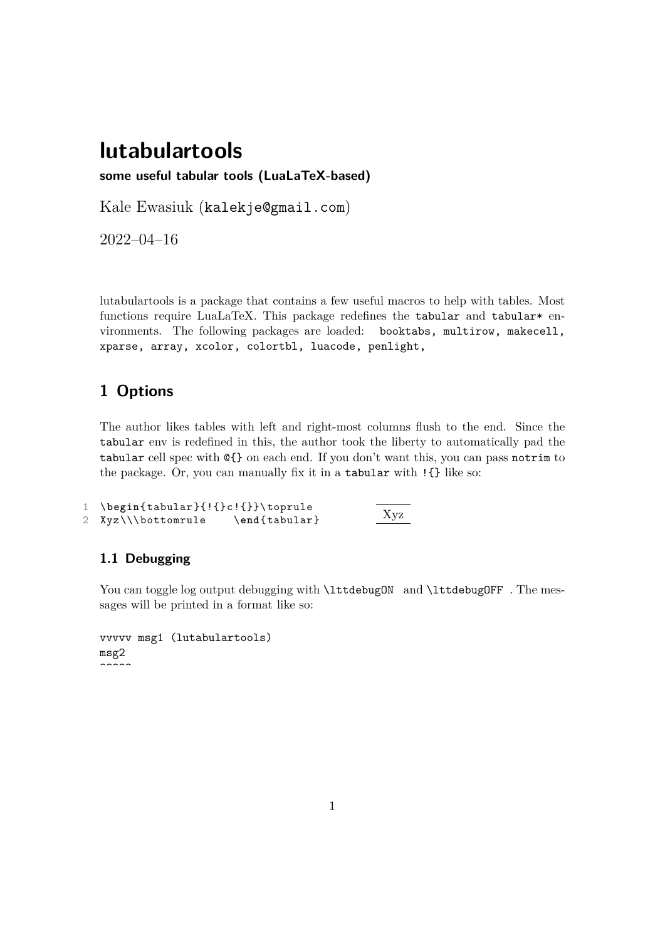# **lutabulartools**

**some useful tabular tools (LuaLaTeX-based)**

Kale Ewasiuk (kalekje@gmail.com)

2022–04–16

lutabulartools is a package that contains a few useful macros to help with tables. Most functions require LuaLaTeX. This package redefines the tabular and tabular\* environments. The following packages are loaded: booktabs, multirow, makecell, xparse, array, xcolor, colortbl, luacode, penlight,

## **1 Options**

The author likes tables with left and right-most columns flush to the end. Since the tabular env is redefined in this, the author took the liberty to automatically pad the tabular cell spec with @{} on each end. If you don't want this, you can pass notrim to the package. Or, you can manually fix it in a tabular with !{} like so:

```
1 \begin{tabular }{!{}c!{}}\ toprule
2 Xyz\\\bottomrule \end{tabular} Xyz
```
## **1.1 Debugging**

You can toggle log output debugging with \lttdebugON and \lttdebugOFF . The messages will be printed in a format like so:

```
vvvvv msg1 (lutabulartools)
msg2
\sim \sim \sim
```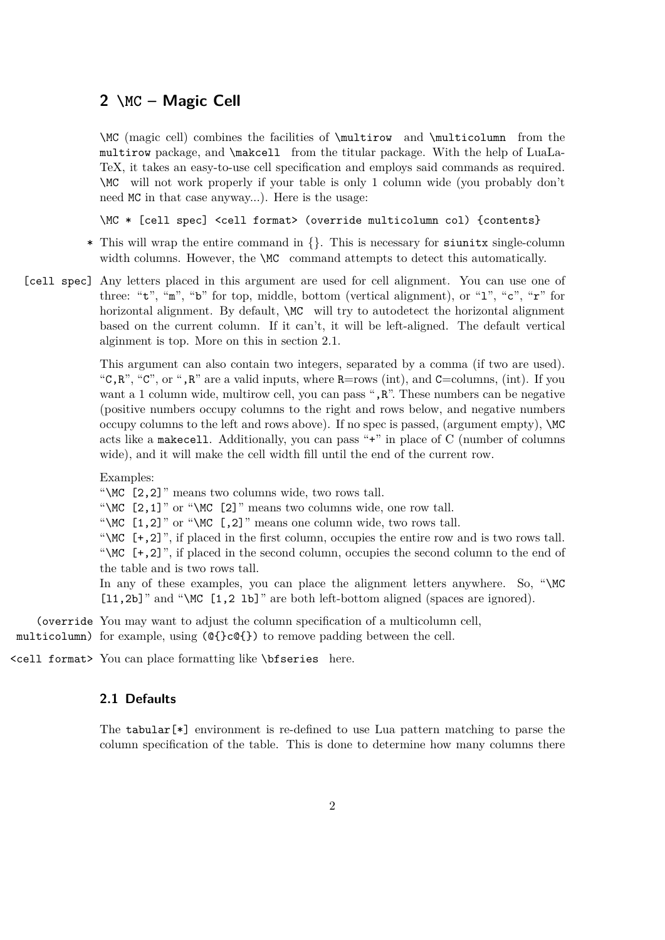### **2 \MC – Magic Cell**

\MC (magic cell) combines the facilities of \multirow and \multicolumn from the multirow package, and \makcell from the titular package. With the help of LuaLa-TeX, it takes an easy-to-use cell specification and employs said commands as required. \MC will not work properly if your table is only 1 column wide (you probably don't need MC in that case anyway...). Here is the usage:

\MC \* [cell spec] <cell format> (override multicolumn col) {contents}

- \* This will wrap the entire command in {}. This is necessary for siunitx single-column width columns. However, the  $\MC$  command attempts to detect this automatically.
- [cell spec] Any letters placed in this argument are used for cell alignment. You can use one of three: "t", "m", "b" for top, middle, bottom (vertical alignment), or "1", "c", " $r$ " for horizontal alignment. By default,  $\angle MC$  will try to autodetect the horizontal alignment based on the current column. If it can't, it will be left-aligned. The default vertical alginment is top. More on this in section 2.1.

This argument can also contain two integers, separated by a comma (if two are used). "C,R", "C", or ",R" are a valid inputs, where R=rows (int), and C=columns, (int). If you want a 1 column wide, multirow cell, you can pass ", R". These numbers can be negative (positive numbers occupy columns to the right and rows below, and negative numbers occupy columns to the left and rows above). If no spec is passed, (argument empty),  $\mathcal{MC}$ acts like a makecell. Additionally, you can pass "+" in place of C (number of columns wide), and it will make the cell width fill until the end of the current row.

Examples:

"\MC [2,2]" means two columns wide, two rows tall.

"\MC [2,1]" or "\MC [2]" means two columns wide, one row tall.

"\MC  $[1,2]$ " or "\MC  $[0,2]$ " means one column wide, two rows tall.

"\MC [+,2]", if placed in the first column, occupies the entire row and is two rows tall. "\MC [+,2]", if placed in the second column, occupies the second column to the end of the table and is two rows tall.

In any of these examples, you can place the alignment letters anywhere. So, "\MC [11,2b]" and "\MC [1,2 lb]" are both left-bottom aligned (spaces are ignored).

(override You may want to adjust the column specification of a multicolumn cell, multicolumn) for example, using (@{}c@{}) to remove padding between the cell.

<cell format> You can place formatting like \bfseries here.

#### **2.1 Defaults**

The tabular  $[*]$  environment is re-defined to use Lua pattern matching to parse the column specification of the table. This is done to determine how many columns there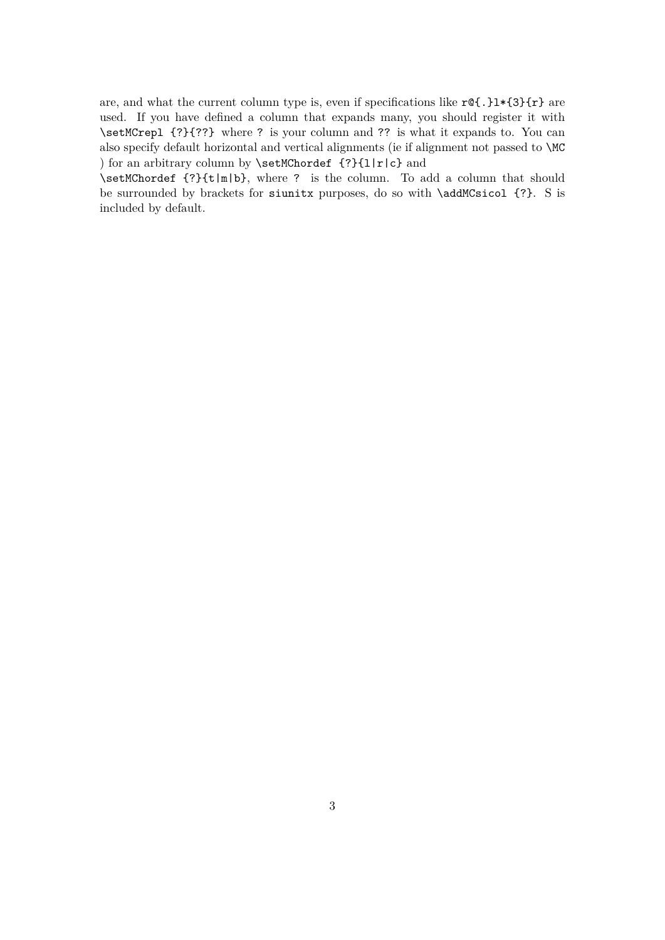are, and what the current column type is, even if specifications like  $r@{.}$  }1\*{3}{r} are used. If you have defined a column that expands many, you should register it with \setMCrepl {?}{??} where ? is your column and ?? is what it expands to. You can also specify default horizontal and vertical alignments (ie if alignment not passed to \MC ) for an arbitrary column by \setMChordef {?}{l|r|c} and

\setMChordef {?}{t|m|b}, where ? is the column. To add a column that should be surrounded by brackets for siunitx purposes, do so with \addMCsicol {?}. S is included by default.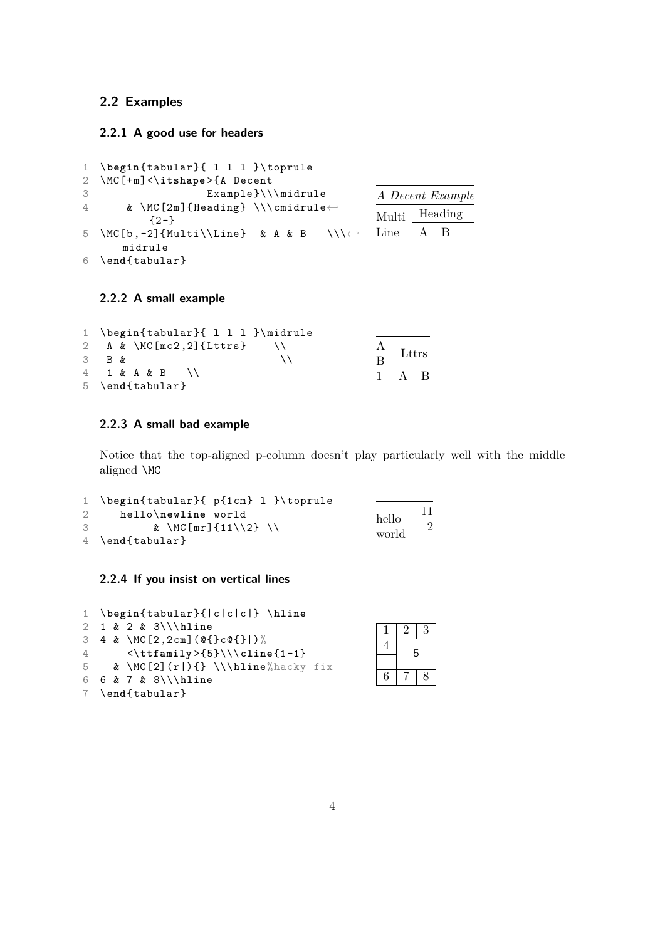#### **2.2 Examples**

#### **2.2.1 A good use for headers**

```
1 \begin{tabular }{ l l l }\ toprule
2 \MC[+m]<\itshape >{A Decent
3 Example }\\\ midrule
4 & \MC[2m]{Heading} \\\cmidrule\leftrightarrow{2-}
5 \MC[b,-2]{Multi\\Line} & A & B \\\\leftrightarrowmidrule
6 \end{tabular}
                                             A Decent Example
                                             Multi Heading
                                             Line A B
```
#### **2.2.2 A small example**

|       | 1 \begin{tabular}{ 1 1 1 }\midrule |                     |                     |  |
|-------|------------------------------------|---------------------|---------------------|--|
|       | 2 A & \MC[mc2,2]{Lttrs} \\         | $\frac{A}{B}$ Lttrs |                     |  |
| 3 B & |                                    |                     |                     |  |
|       | $4$ 1 & A & B \\                   |                     | $1 \quad A \quad B$ |  |
|       | $5 \ \end{tabular}$                |                     |                     |  |

#### **2.2.3 A small bad example**

Notice that the top-aligned p-column doesn't play particularly well with the middle aligned \MC

 $\overline{3}$ 

6 7 8

5

```
1 \begin{tabular }{ p{1cm} l }\ toprule
2 hello\newline world
3 & \MC[mr]{11\\2} \\
4 \end{tabular}
                                          hello
                                          world
                                                11
                                                 2
```
#### **2.2.4 If you insist on vertical lines**

| 1 \begin{tabular}{ c c c } \hline |  |                                                               |  |  |  |  |  |  |
|-----------------------------------|--|---------------------------------------------------------------|--|--|--|--|--|--|
|                                   |  | $2 \t1 \t2 \t3 \t3 \t1 \t1 \t1$                               |  |  |  |  |  |  |
|                                   |  | 3 4 & \MC[2,2cm]( $\mathcal{Q}$ {}c $\mathcal{Q}$ {} )%       |  |  |  |  |  |  |
| $\frac{4}{1}$                     |  | $\left\{\text{amily} \right\} \setminus \text{cline} \{1-1\}$ |  |  |  |  |  |  |
|                                   |  | 5 & \MC[2](r ){} \\\hline%hacky fix                           |  |  |  |  |  |  |
|                                   |  | 6 6 $\& 7 \& 8$ \\\hline                                      |  |  |  |  |  |  |
|                                   |  | $7 \text{end}$ (tabular)                                      |  |  |  |  |  |  |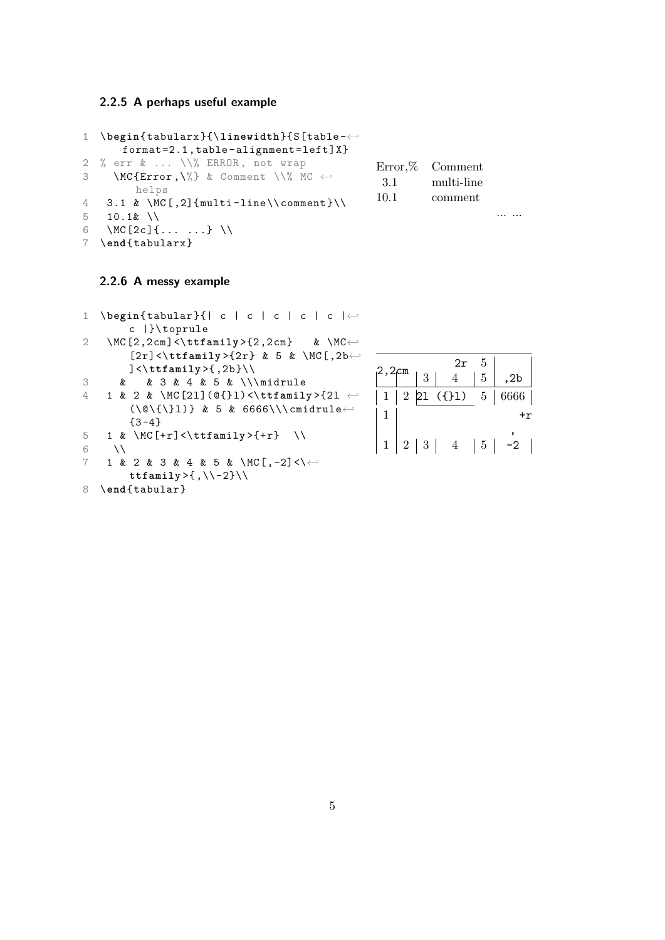#### **2.2.5 A perhaps useful example**

```
1 \begin{tabularx }{\linewidth}{S[table -←-
      format =2.1 , table - alignment =left]X}
2 % err & ... \\% ERROR , not wrap
3 \MC{Error,\%} & Comment \\% MC \leftrightarrowhelps
4 \quad 3.1 \& \sqrt{C}[,2]{multi-line\\comment}\\
5 10.1 & \\
6 \MC[2c]{... ...} \\
7 \end{tabularx }
                                                Error,% Comment
                                                 3.1 multi-line
                                                10.1 comment
                                                                    ... ...
```
#### **2.2.6 A messy example**

```
1 \begin{tabular }{| c | c | c | c | c |←-
        c |}\ toprule
2 \MC[2,2cm] <\ttfamily >{2,2cm} & \MC ←
        [2r] < \ttfamily > {2r} & 5 & \MC[, 2b ←
        ]<\ttfamily >{,2b}\\
3 & & 3 & 4 & 5 & \\\ midrule
4 1 & 2 & \MC[2l](@{}l) <\ttfamily >{2l ←-
        (\Diamond (\\Diamond\{\}l)} & 5 & 6666\\\cmidrule←
        {3 - 4}5 1 & \MC[+r] <\ttfamily >{+r} \\
6 \qquad \text{IV}7 1 & 2 & 3 & 4 & 5 & \MC[,-2] <\\leftrightarrowttfamily >{ ,\\ -2}\\
```

```
8 \end{tabular}
```

|              |   | 2r                                   |                |                                 |
|--------------|---|--------------------------------------|----------------|---------------------------------|
| $1^{2,2}$ cm | 3 | 4 <sup>1</sup>                       | 5 <sup>1</sup> | ,2b                             |
|              |   |                                      |                | $1   2   21$ ({}1) $5   6666  $ |
|              |   |                                      |                |                                 |
|              |   | $1 \mid 2 \mid 3 \mid 4 \mid 5 \mid$ |                | $-2$                            |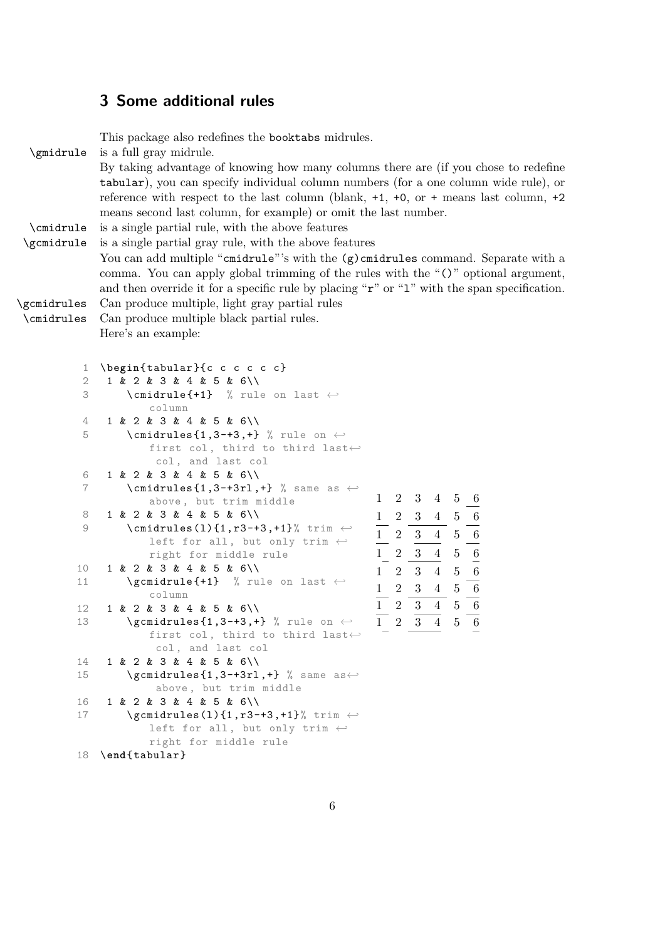## **3 Some additional rules**

|                                                                                                                                                                                                | This package also redefines the booktabs midrules.                                                                                                                                                                                                                                                                                           |  |  |  |  |  |  |  |  |  |
|------------------------------------------------------------------------------------------------------------------------------------------------------------------------------------------------|----------------------------------------------------------------------------------------------------------------------------------------------------------------------------------------------------------------------------------------------------------------------------------------------------------------------------------------------|--|--|--|--|--|--|--|--|--|
| \gmidrule                                                                                                                                                                                      | is a full gray midrule.                                                                                                                                                                                                                                                                                                                      |  |  |  |  |  |  |  |  |  |
|                                                                                                                                                                                                | By taking advantage of knowing how many columns there are (if you chose to redefine                                                                                                                                                                                                                                                          |  |  |  |  |  |  |  |  |  |
|                                                                                                                                                                                                | tabular), you can specify individual column numbers (for a one column wide rule), or                                                                                                                                                                                                                                                         |  |  |  |  |  |  |  |  |  |
|                                                                                                                                                                                                |                                                                                                                                                                                                                                                                                                                                              |  |  |  |  |  |  |  |  |  |
|                                                                                                                                                                                                | reference with respect to the last column (blank, $+1$ , $+0$ , or $+$ means last column, $+2$                                                                                                                                                                                                                                               |  |  |  |  |  |  |  |  |  |
|                                                                                                                                                                                                | means second last column, for example) or omit the last number.                                                                                                                                                                                                                                                                              |  |  |  |  |  |  |  |  |  |
| \cmidrule                                                                                                                                                                                      | is a single partial rule, with the above features                                                                                                                                                                                                                                                                                            |  |  |  |  |  |  |  |  |  |
| \gcmidrule                                                                                                                                                                                     | is a single partial gray rule, with the above features                                                                                                                                                                                                                                                                                       |  |  |  |  |  |  |  |  |  |
|                                                                                                                                                                                                | You can add multiple "cmidrule"'s with the $(g)$ cmidrules command. Separate with a                                                                                                                                                                                                                                                          |  |  |  |  |  |  |  |  |  |
|                                                                                                                                                                                                | comma. You can apply global trimming of the rules with the "()" optional argument,                                                                                                                                                                                                                                                           |  |  |  |  |  |  |  |  |  |
|                                                                                                                                                                                                |                                                                                                                                                                                                                                                                                                                                              |  |  |  |  |  |  |  |  |  |
|                                                                                                                                                                                                | and then override it for a specific rule by placing " $\mathbf{r}$ " or "1" with the span specification.                                                                                                                                                                                                                                     |  |  |  |  |  |  |  |  |  |
| \gcmidrules                                                                                                                                                                                    | Can produce multiple, light gray partial rules                                                                                                                                                                                                                                                                                               |  |  |  |  |  |  |  |  |  |
| \cmidrules                                                                                                                                                                                     | Can produce multiple black partial rules.                                                                                                                                                                                                                                                                                                    |  |  |  |  |  |  |  |  |  |
|                                                                                                                                                                                                | Here's an example:                                                                                                                                                                                                                                                                                                                           |  |  |  |  |  |  |  |  |  |
|                                                                                                                                                                                                |                                                                                                                                                                                                                                                                                                                                              |  |  |  |  |  |  |  |  |  |
|                                                                                                                                                                                                |                                                                                                                                                                                                                                                                                                                                              |  |  |  |  |  |  |  |  |  |
| $\mathbf 1$                                                                                                                                                                                    | \begin{tabular}{c c c c c c}                                                                                                                                                                                                                                                                                                                 |  |  |  |  |  |  |  |  |  |
| $\sqrt{2}$                                                                                                                                                                                     | 1 & 2 & 3 & 4 & 5 & 6\\                                                                                                                                                                                                                                                                                                                      |  |  |  |  |  |  |  |  |  |
| 3                                                                                                                                                                                              | $\{\text{cmidrule} + 1\}$ % rule on last $\leftrightarrow$                                                                                                                                                                                                                                                                                   |  |  |  |  |  |  |  |  |  |
|                                                                                                                                                                                                | column                                                                                                                                                                                                                                                                                                                                       |  |  |  |  |  |  |  |  |  |
| 4                                                                                                                                                                                              | 1 & 2 & 3 & 4 & 5 & 6\\                                                                                                                                                                                                                                                                                                                      |  |  |  |  |  |  |  |  |  |
| 5                                                                                                                                                                                              | \cmidrules $\{1,3-+3,+ \}$ % rule on $\leftrightarrow$                                                                                                                                                                                                                                                                                       |  |  |  |  |  |  |  |  |  |
|                                                                                                                                                                                                | first col, third to third last $\leftrightarrow$                                                                                                                                                                                                                                                                                             |  |  |  |  |  |  |  |  |  |
|                                                                                                                                                                                                | col, and last col                                                                                                                                                                                                                                                                                                                            |  |  |  |  |  |  |  |  |  |
| 6                                                                                                                                                                                              | 1 & 2 & 3 & 4 & 5 & 6\\                                                                                                                                                                                                                                                                                                                      |  |  |  |  |  |  |  |  |  |
| $\overline{7}$                                                                                                                                                                                 | \cmidrules $\{1,3-+3r1,+\}$ % same as $\leftrightarrow$                                                                                                                                                                                                                                                                                      |  |  |  |  |  |  |  |  |  |
|                                                                                                                                                                                                | $2 \quad 3$<br>$\mathbf{1}$<br>$\overline{4}$<br>$\overline{5}$<br>above, but trim middle                                                                                                                                                                                                                                                    |  |  |  |  |  |  |  |  |  |
| 8                                                                                                                                                                                              | 1 & 2 & 3 & 4 & 5 & 6\\<br>$4\quad 5$                                                                                                                                                                                                                                                                                                        |  |  |  |  |  |  |  |  |  |
| 9                                                                                                                                                                                              | $2\frac{3}{2}$<br>$\frac{1}{\frac{1}{1}}$<br>$\{\text{cmidrules}(1)\{1, r3-+3, +1\}\}$ trim $\leftrightarrow$<br>$\overline{2}$ $\overline{3}$                                                                                                                                                                                               |  |  |  |  |  |  |  |  |  |
|                                                                                                                                                                                                | $\overline{4}$<br>left for all, but only trim $\leftarrow$                                                                                                                                                                                                                                                                                   |  |  |  |  |  |  |  |  |  |
|                                                                                                                                                                                                | $\frac{1}{4}$<br>3 <sup>1</sup><br>$\overline{2}$<br>right for middle rule                                                                                                                                                                                                                                                                   |  |  |  |  |  |  |  |  |  |
| 10                                                                                                                                                                                             | $\begin{bmatrix} 1 & 2 \end{bmatrix}$<br>1 & 2 & 3 & 4 & 5 & 6\\<br>$\overline{4}$<br>3 <sup>1</sup>                                                                                                                                                                                                                                         |  |  |  |  |  |  |  |  |  |
| 11                                                                                                                                                                                             | $\qquad$ $\qquad$ $\qquad$ $\qquad$ $\qquad$ $\qquad$ $\qquad$ $\qquad$ $\qquad$ $\qquad$ $\qquad$ $\qquad$ $\qquad$ $\qquad$ $\qquad$ $\qquad$ $\qquad$ $\qquad$ $\qquad$ $\qquad$ $\qquad$ $\qquad$ $\qquad$ $\qquad$ $\qquad$ $\qquad$ $\qquad$ $\qquad$ $\qquad$ $\qquad$ $\qquad$ $\qquad$ $\qquad$ $\qquad$ $\qquad$ $\qquad$ $\qquad$ |  |  |  |  |  |  |  |  |  |
| $\begin{array}{r} 5 \\ 5 \\ 6 \\ \hline 6 \\ 5 \\ 6 \\ \hline 6 \\ 6 \\ \hline 7 \\ 6 \\ \hline \end{array}$<br>$\frac{1}{1}$<br>$\overline{2}$<br>3 <sup>3</sup><br>$4\overline{ }$<br>column |                                                                                                                                                                                                                                                                                                                                              |  |  |  |  |  |  |  |  |  |
| 12                                                                                                                                                                                             | $3\overline{3}$<br>$\overline{4}$<br>$\sqrt{2}$<br>1 & 2 & 3 & 4 & 5 & 6\\                                                                                                                                                                                                                                                                   |  |  |  |  |  |  |  |  |  |
| 13                                                                                                                                                                                             | $\overline{1}$<br>$\frac{1}{4}$<br>$\overline{3}$<br>$\overline{6}$<br>$\overline{5}$<br>$\overline{2}$<br>$\qquad \qquad \setminus \texttt{gcmidrules} \{1,3-+3,+ \}$ % rule on $\leftarrow$                                                                                                                                                |  |  |  |  |  |  |  |  |  |
|                                                                                                                                                                                                | first col, third to third last $\leftrightarrow$                                                                                                                                                                                                                                                                                             |  |  |  |  |  |  |  |  |  |
|                                                                                                                                                                                                |                                                                                                                                                                                                                                                                                                                                              |  |  |  |  |  |  |  |  |  |
|                                                                                                                                                                                                | col, and last col                                                                                                                                                                                                                                                                                                                            |  |  |  |  |  |  |  |  |  |
| 14                                                                                                                                                                                             | 1 & 2 & 3 & 4 & 5 & 6\\                                                                                                                                                                                                                                                                                                                      |  |  |  |  |  |  |  |  |  |
| 15<br>$\sqrt{gcmidrules\{1,3-+3rl,+}\}$ % same as $\leftrightarrow$                                                                                                                            |                                                                                                                                                                                                                                                                                                                                              |  |  |  |  |  |  |  |  |  |
| above, but trim middle                                                                                                                                                                         |                                                                                                                                                                                                                                                                                                                                              |  |  |  |  |  |  |  |  |  |
| 16                                                                                                                                                                                             | 1 & 2 & 3 & 4 & 5 & 6\\                                                                                                                                                                                                                                                                                                                      |  |  |  |  |  |  |  |  |  |
| 17                                                                                                                                                                                             | $\qquad$ \gcmidrules(1){1, r3-+3, +1}% trim $\leftrightarrow$                                                                                                                                                                                                                                                                                |  |  |  |  |  |  |  |  |  |
|                                                                                                                                                                                                | left for all, but only trim $\leftarrow$                                                                                                                                                                                                                                                                                                     |  |  |  |  |  |  |  |  |  |
|                                                                                                                                                                                                | right for middle rule                                                                                                                                                                                                                                                                                                                        |  |  |  |  |  |  |  |  |  |
|                                                                                                                                                                                                | 18 \end{tabular}                                                                                                                                                                                                                                                                                                                             |  |  |  |  |  |  |  |  |  |